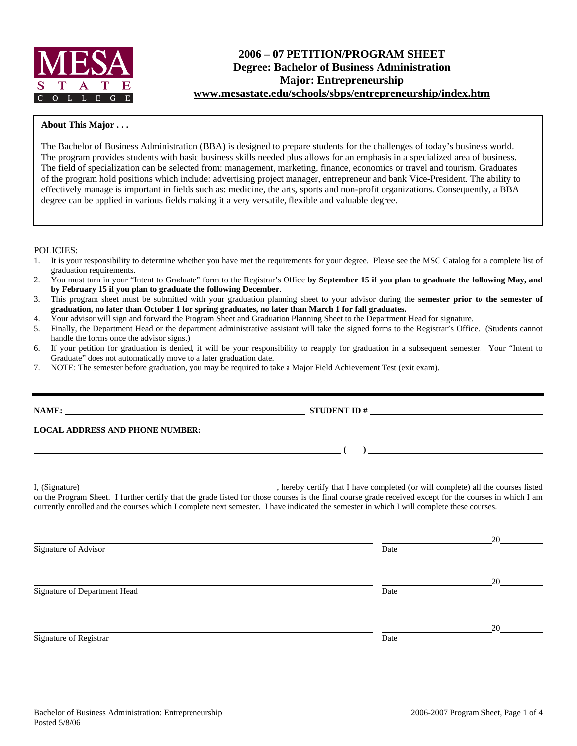

# **2006 – 07 PETITION/PROGRAM SHEET Degree: Bachelor of Business Administration Major: Entrepreneurship www.mesastate.edu/schools/sbps/entrepreneurship/index.htm**

#### **About This Major . . .**

The Bachelor of Business Administration (BBA) is designed to prepare students for the challenges of today's business world. The program provides students with basic business skills needed plus allows for an emphasis in a specialized area of business. The field of specialization can be selected from: management, marketing, finance, economics or travel and tourism. Graduates of the program hold positions which include: advertising project manager, entrepreneur and bank Vice-President. The ability to effectively manage is important in fields such as: medicine, the arts, sports and non-profit organizations. Consequently, a BBA degree can be applied in various fields making it a very versatile, flexible and valuable degree.

#### POLICIES:

- 1. It is your responsibility to determine whether you have met the requirements for your degree. Please see the MSC Catalog for a complete list of graduation requirements.
- 2. You must turn in your "Intent to Graduate" form to the Registrar's Office **by September 15 if you plan to graduate the following May, and by February 15 if you plan to graduate the following December**.
- 3. This program sheet must be submitted with your graduation planning sheet to your advisor during the **semester prior to the semester of graduation, no later than October 1 for spring graduates, no later than March 1 for fall graduates.**
- 4. Your advisor will sign and forward the Program Sheet and Graduation Planning Sheet to the Department Head for signature.
- 5. Finally, the Department Head or the department administrative assistant will take the signed forms to the Registrar's Office. (Students cannot handle the forms once the advisor signs.)
- 6. If your petition for graduation is denied, it will be your responsibility to reapply for graduation in a subsequent semester. Your "Intent to Graduate" does not automatically move to a later graduation date.
- 7. NOTE: The semester before graduation, you may be required to take a Major Field Achievement Test (exit exam).

|                      | STUDENT ID $\#$                                                                                                                                                                                                                                                                                     |  |
|----------------------|-----------------------------------------------------------------------------------------------------------------------------------------------------------------------------------------------------------------------------------------------------------------------------------------------------|--|
|                      |                                                                                                                                                                                                                                                                                                     |  |
|                      | <u> произведения (при принцепти (при принцепти (при принцепти при принцепти при принцепти при принцепти при прин</u>                                                                                                                                                                                |  |
|                      | on the Program Sheet. I further certify that the grade listed for those courses is the final course grade received except for the courses in which I am<br>currently enrolled and the courses which I complete next semester. I have indicated the semester in which I will complete these courses. |  |
| Signature of Advisor | Date                                                                                                                                                                                                                                                                                                |  |

Signature of Department Head Date

Signature of Registrar Date

<u>20</u>

20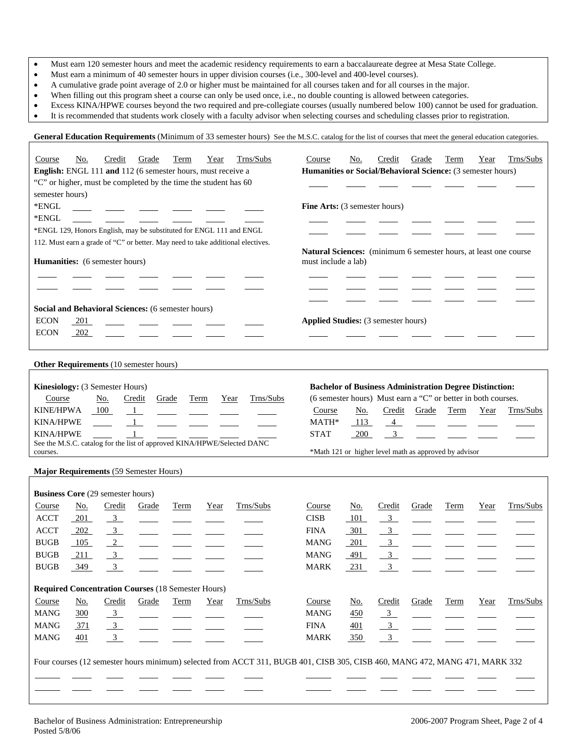- Must earn 120 semester hours and meet the academic residency requirements to earn a baccalaureate degree at Mesa State College.
- Must earn a minimum of 40 semester hours in upper division courses (i.e., 300-level and 400-level courses).
- A cumulative grade point average of 2.0 or higher must be maintained for all courses taken and for all courses in the major.
- When filling out this program sheet a course can only be used once, i.e., no double counting is allowed between categories.
- Excess KINA/HPWE courses beyond the two required and pre-collegiate courses (usually numbered below 100) cannot be used for graduation.

General Education Requirements (Minimum of 33 semester hours) See the M.S.C. catalog for the list of courses that meet the general education categories.

• It is recommended that students work closely with a faculty advisor when selecting courses and scheduling classes prior to registration.

| Trns/Subs<br>Course<br>No.<br>Credit<br>Grade<br>Term<br>Year<br>English: ENGL 111 and 112 (6 semester hours, must receive a<br>"C" or higher, must be completed by the time the student has 60<br>semester hours)<br>*ENGL<br>*ENGL<br>*ENGL 129, Honors English, may be substituted for ENGL 111 and ENGL<br>112. Must earn a grade of "C" or better. May need to take additional electives.<br>Humanities: (6 semester hours)<br>Social and Behavioral Sciences: (6 semester hours)<br><b>ECON</b><br>201<br><b>ECON</b><br>202 | Trns/Subs<br>Credit<br>Course<br>No.<br>Grade<br>Term<br>Year<br>Humanities or Social/Behavioral Science: (3 semester hours)<br>Fine Arts: (3 semester hours)<br>Natural Sciences: (minimum 6 semester hours, at least one course<br>must include a lab)<br><b>Applied Studies:</b> (3 semester hours)           |
|------------------------------------------------------------------------------------------------------------------------------------------------------------------------------------------------------------------------------------------------------------------------------------------------------------------------------------------------------------------------------------------------------------------------------------------------------------------------------------------------------------------------------------|------------------------------------------------------------------------------------------------------------------------------------------------------------------------------------------------------------------------------------------------------------------------------------------------------------------|
| Other Requirements (10 semester hours)                                                                                                                                                                                                                                                                                                                                                                                                                                                                                             |                                                                                                                                                                                                                                                                                                                  |
| Kinesiology: (3 Semester Hours)<br>Trns/Subs<br>Course<br>No.<br>Credit<br>Grade<br>Year<br>Term<br><b>KINE/HPWA</b><br>100<br>1<br><b>KINA/HPWE</b><br>1<br><b>KINA/HPWE</b><br>See the M.S.C. catalog for the list of approved KINA/HPWE/Selected DANC<br>courses.                                                                                                                                                                                                                                                               | <b>Bachelor of Business Administration Degree Distinction:</b><br>(6 semester hours) Must earn a "C" or better in both courses.<br>Course<br><u>No.</u><br>Credit<br>Grade<br>Term<br>Trns/Subs<br>Year<br>MATH*<br>113<br>4<br><b>STAT</b><br>3<br>200<br>*Math 121 or higher level math as approved by advisor |
| Major Requirements (59 Semester Hours)                                                                                                                                                                                                                                                                                                                                                                                                                                                                                             |                                                                                                                                                                                                                                                                                                                  |
| <b>Business Core (29 semester hours)</b><br>Trns/Subs<br>No.<br>Credit<br>Year<br>Course<br>Grade<br>Term<br><b>ACCT</b><br>$-201$<br>$\frac{3}{2}$<br><b>ACCT</b><br>202<br>$\frac{3}{2}$<br><b>BUGB</b><br>105<br>2<br><b>BUGB</b><br>$\overline{3}$<br>211<br>349<br><b>BUGB</b><br>3                                                                                                                                                                                                                                           | Trns/Subs<br>Credit<br>Course<br>No.<br>Grade<br>Term<br>Year<br><b>CISB</b><br>101<br>$\frac{3}{2}$<br><b>FINA</b><br>301<br>$\frac{3}{2}$<br>3 <sup>7</sup><br><b>MANG</b><br>201<br><b>MANG</b><br>3 <sup>7</sup><br>491<br>231<br>$\mathcal{L}$<br><b>MARK</b>                                               |
| <b>Required Concentration Courses (18 Semester Hours)</b><br>Trns/Subs<br>$\underline{No.}$<br>Credit<br>Term<br>Course<br>Grade<br>Year<br>MANG<br>300<br>$\frac{3}{2}$<br><b>MANG</b><br><u>371</u><br>$\frac{3}{2}$                                                                                                                                                                                                                                                                                                             | Trns/Subs<br>Credit<br>Course<br>Grade<br><b>Term</b><br>Year<br>No.<br><b>MANG</b><br>450<br>$\overline{3}$<br><b>FINA</b><br><u>401</u><br>$\frac{3}{2}$                                                                                                                                                       |
| MANG<br>$\frac{3}{2}$<br>401                                                                                                                                                                                                                                                                                                                                                                                                                                                                                                       | <b>MARK</b><br>350<br>$\overline{3}$                                                                                                                                                                                                                                                                             |
| Four courses (12 semester hours minimum) selected from ACCT 311, BUGB 401, CISB 305, CISB 460, MANG 472, MANG 471, MARK 332                                                                                                                                                                                                                                                                                                                                                                                                        |                                                                                                                                                                                                                                                                                                                  |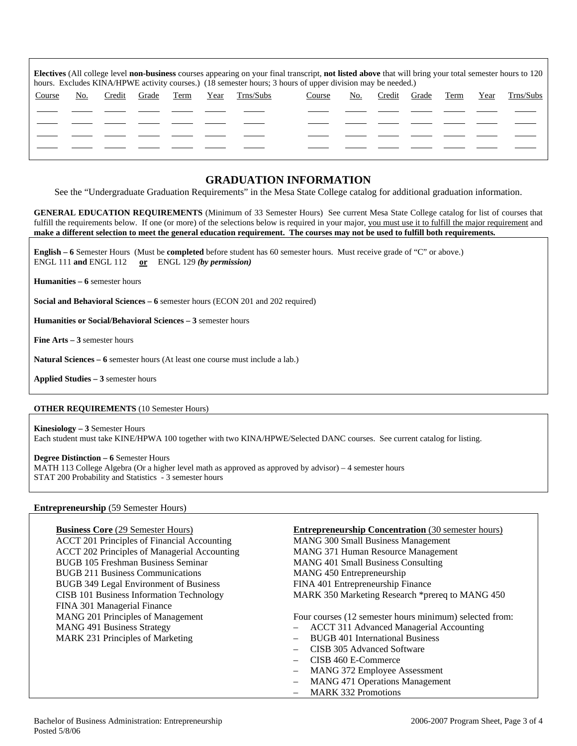| <b>Electives</b> (All college level <b>non-business</b> courses appearing on your final transcript, <b>not listed above</b> that will bring your total semester hours to 120<br>hours. Excludes KINA/HPWE activity courses.) (18 semester hours; 3 hours of upper division may be needed.) |     |        |       |      |      |           |        |     |        |       |      |      |           |
|--------------------------------------------------------------------------------------------------------------------------------------------------------------------------------------------------------------------------------------------------------------------------------------------|-----|--------|-------|------|------|-----------|--------|-----|--------|-------|------|------|-----------|
| Course                                                                                                                                                                                                                                                                                     | No. | Credit | Grade | Term | Year | Trns/Subs | Course | No. | Credit | Grade | Term | Year | Trns/Subs |
|                                                                                                                                                                                                                                                                                            |     |        |       |      |      |           |        |     |        |       |      |      |           |
|                                                                                                                                                                                                                                                                                            |     |        |       |      |      |           |        |     |        |       |      |      |           |
|                                                                                                                                                                                                                                                                                            |     |        |       |      |      |           |        |     |        |       |      |      |           |
|                                                                                                                                                                                                                                                                                            |     |        |       |      |      |           |        |     |        |       |      |      |           |

## **GRADUATION INFORMATION**

See the "Undergraduate Graduation Requirements" in the Mesa State College catalog for additional graduation information.

**GENERAL EDUCATION REQUIREMENTS** (Minimum of 33 Semester Hours) See current Mesa State College catalog for list of courses that fulfill the requirements below. If one (or more) of the selections below is required in your major, you must use it to fulfill the major requirement and **make a different selection to meet the general education requirement. The courses may not be used to fulfill both requirements.**

**English – 6** Semester Hours (Must be **completed** before student has 60 semester hours. Must receive grade of "C" or above.) ENGL 111 **and** ENGL 112 **or** ENGL 129 *(by permission)*

**Humanities – 6** semester hours

**Social and Behavioral Sciences – 6** semester hours (ECON 201 and 202 required)

**Humanities or Social/Behavioral Sciences – 3** semester hours

**Fine Arts – 3** semester hours

**Natural Sciences – 6** semester hours (At least one course must include a lab.)

**Applied Studies – 3** semester hours

#### **OTHER REQUIREMENTS** (10 Semester Hours)

**Kinesiology – 3** Semester Hours Each student must take KINE/HPWA 100 together with two KINA/HPWE/Selected DANC courses. See current catalog for listing.

#### **Degree Distinction – 6** Semester Hours

MATH 113 College Algebra (Or a higher level math as approved as approved by advisor) – 4 semester hours STAT 200 Probability and Statistics - 3 semester hours

#### **Entrepreneurship** (59 Semester Hours)

| <b>Business Core</b> (29 Semester Hours)           | <b>Entrepreneurship Concentration</b> (30 semester hours)  |
|----------------------------------------------------|------------------------------------------------------------|
| <b>ACCT 201 Principles of Financial Accounting</b> | <b>MANG 300 Small Business Management</b>                  |
| ACCT 202 Principles of Managerial Accounting       | <b>MANG 371 Human Resource Management</b>                  |
| BUGB 105 Freshman Business Seminar                 | <b>MANG 401 Small Business Consulting</b>                  |
| BUGB 211 Business Communications                   | MANG 450 Entrepreneurship                                  |
| <b>BUGB 349 Legal Environment of Business</b>      | FINA 401 Entrepreneurship Finance                          |
| CISB 101 Business Information Technology           | MARK 350 Marketing Research *prereq to MANG 450            |
| FINA 301 Managerial Finance                        |                                                            |
| MANG 201 Principles of Management                  | Four courses (12 semester hours minimum) selected from:    |
| <b>MANG 491 Business Strategy</b>                  | <b>ACCT 311 Advanced Managerial Accounting</b>             |
| MARK 231 Principles of Marketing                   | <b>BUGB</b> 401 International Business                     |
|                                                    | CISB 305 Advanced Software                                 |
|                                                    | CISB 460 E-Commerce                                        |
|                                                    | MANG 372 Employee Assessment<br>$\qquad \qquad -$          |
|                                                    | <b>MANG 471 Operations Management</b><br>$\qquad \qquad -$ |
|                                                    | <b>MARK 332 Promotions</b>                                 |